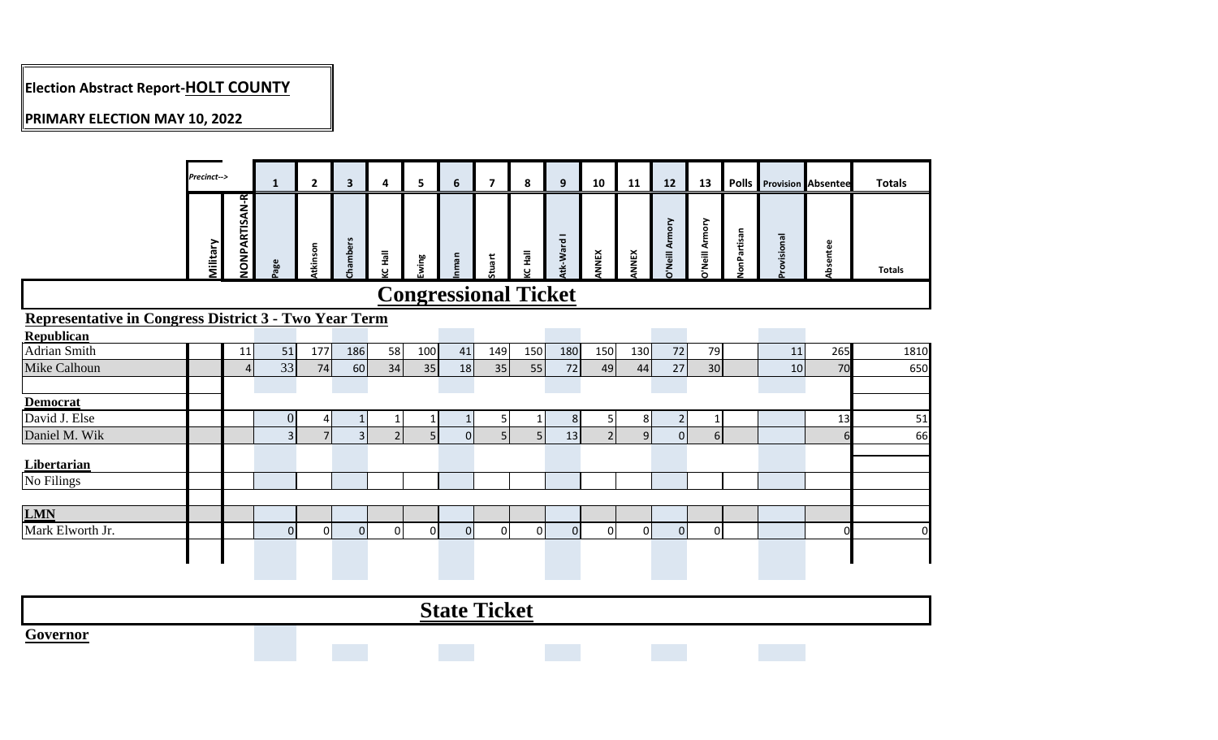# **Election Abstract Report-HOLT COUNTY**

### **PRIMARY ELECTION MAY 10, 2022**

|                                                              | Precinct--> |                      | $\mathbf{1}$   | $\overline{2}$ | $\overline{\mathbf{3}}$ | 4                                                        | 5    | 6                           | $\overline{\mathbf{z}}$ | 8            | 9              | 10             | 11           | 12                    | 13             |            |            | <b>Polls</b> Provision Absentee | <b>Totals</b> |
|--------------------------------------------------------------|-------------|----------------------|----------------|----------------|-------------------------|----------------------------------------------------------|------|-----------------------------|-------------------------|--------------|----------------|----------------|--------------|-----------------------|----------------|------------|------------|---------------------------------|---------------|
|                                                              | Military    | <b>NONPARTISAN-R</b> | age            | tkinson        | Chambers                | $\overline{\overline{\overline{a}}}$<br>$\mathbf \omega$ | wing | nman                        | tuart                   | <b>CHall</b> | Atk-Ward I     | <b>NNEX</b>    | <b>INNEX</b> | <b>D'Neill Armory</b> | y'Neill Armory | onPartisan | rovisional | bsentee                         | <b>Totals</b> |
|                                                              |             |                      |                |                |                         |                                                          |      | <b>Congressional Ticket</b> |                         |              |                |                |              |                       |                |            |            |                                 |               |
| <b>Representative in Congress District 3 - Two Year Term</b> |             |                      |                |                |                         |                                                          |      |                             |                         |              |                |                |              |                       |                |            |            |                                 |               |
| <b>Republican</b>                                            |             |                      |                |                |                         |                                                          |      |                             |                         |              |                |                |              |                       |                |            |            |                                 |               |
| Adrian Smith                                                 |             | 11                   | 51             | 177            | 186                     | 58                                                       | 100  | 41                          | 149                     | 150          | 180            | 150            | 130          | 72                    | 79             |            | 11         | 265                             | 1810          |
| Mike Calhoun                                                 |             | $\overline{4}$       | 33             | 74             | 60                      | 34                                                       | 35   | 18                          | 35                      | 55           | 72             | 49             | 44           | 27                    | 30             |            | 10         | 70                              | 650           |
|                                                              |             |                      |                |                |                         |                                                          |      |                             |                         |              |                |                |              |                       |                |            |            |                                 |               |
| <b>Democrat</b>                                              |             |                      |                |                |                         |                                                          |      |                             |                         |              |                |                |              |                       |                |            |            |                                 |               |
| David J. Else                                                |             |                      | $\overline{0}$ | $\overline{4}$ |                         | 1                                                        |      | $\mathbf{1}$                | 5 <sub>l</sub>          | 1            | 8 <sup>1</sup> | 5 <sub>l</sub> | 8            | $\overline{2}$        | -1             |            |            | 13                              | 51            |
| Daniel M. Wik                                                |             |                      | $\overline{3}$ | $\overline{7}$ | $\overline{3}$          |                                                          | 5.   | $\mathbf 0$                 | 5 <sub>l</sub>          | 5            | 13             | $\overline{2}$ | 9            | $\overline{0}$        | 6 <sup>1</sup> |            |            | 6                               | 66            |
| Libertarian                                                  |             |                      |                |                |                         |                                                          |      |                             |                         |              |                |                |              |                       |                |            |            |                                 |               |
| No Filings                                                   |             |                      |                |                |                         |                                                          |      |                             |                         |              |                |                |              |                       |                |            |            |                                 |               |
|                                                              |             |                      |                |                |                         |                                                          |      |                             |                         |              |                |                |              |                       |                |            |            |                                 |               |
| <b>LMN</b>                                                   |             |                      |                |                |                         |                                                          |      |                             |                         |              |                |                |              |                       |                |            |            |                                 |               |
| Mark Elworth Jr.                                             |             |                      | $\Omega$       | $\Omega$       | $\Omega$                | $\Omega$                                                 | ΩI   | $\Omega$                    | $\Omega$                | 0            | $\overline{0}$ | $\Omega$       | $\Omega$     | $\overline{0}$        | $\Omega$       |            |            | ŋ                               | $\mathbf 0$   |
|                                                              |             |                      |                |                |                         |                                                          |      |                             |                         |              |                |                |              |                       |                |            |            |                                 |               |

|                             |  | $\mathbf{C}$ | <b>PERMIT</b><br><b>A</b> icket |  |  |  |
|-----------------------------|--|--------------|---------------------------------|--|--|--|
| $\sim$<br>$'$ avannan<br>пυ |  |              |                                 |  |  |  |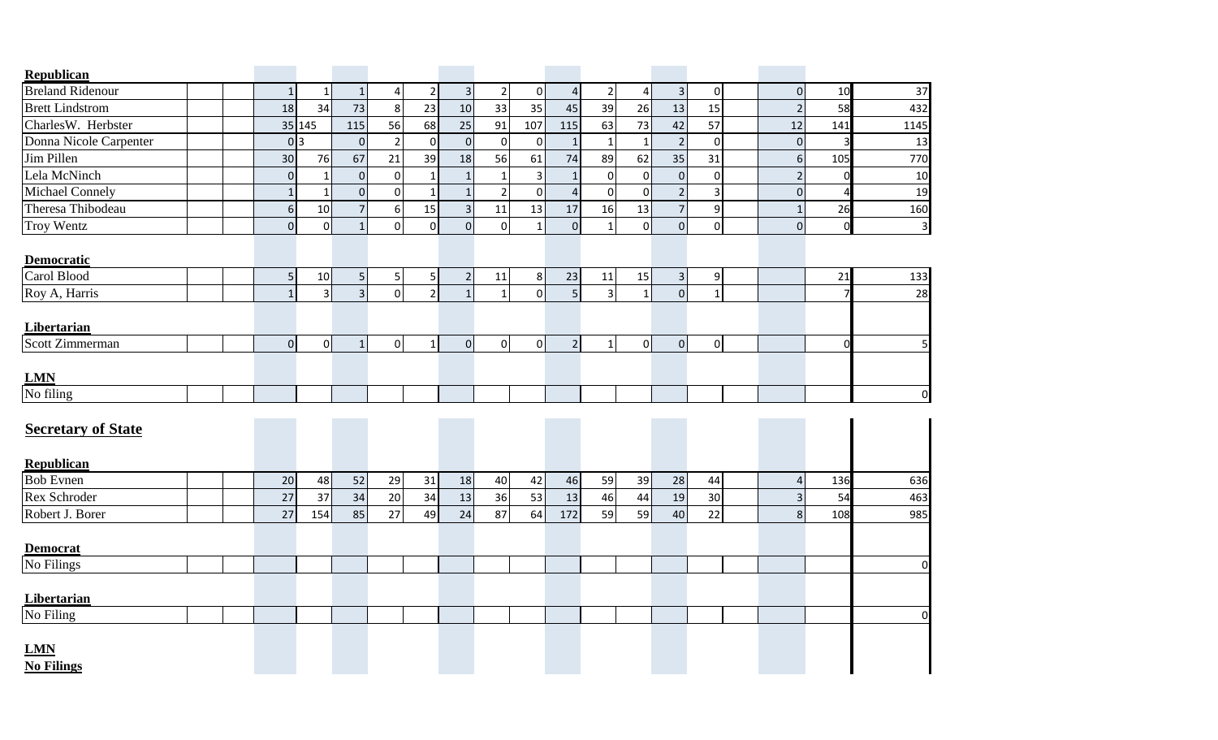| Republican                      |  |                 |                |                  |                |                |                |                |                |                     |                |                |                |                |                         |                |             |
|---------------------------------|--|-----------------|----------------|------------------|----------------|----------------|----------------|----------------|----------------|---------------------|----------------|----------------|----------------|----------------|-------------------------|----------------|-------------|
| <b>Breland Ridenour</b>         |  | $\mathbf{1}$    |                | $\mathbf{1}$     | 4              | 2              | $\overline{3}$ | $\overline{2}$ | $\overline{0}$ | $\overline{4}$      | $\overline{2}$ | 4              | 3              | $\mathbf{0}$   | $\mathbf 0$             | 10             | 37          |
| <b>Brett Lindstrom</b>          |  | 18              | 34             | 73               | 8              | 23             | 10             | 33             | 35             | 45                  | 39             | 26             | 13             | 15             | $\overline{2}$          | 58             | 432         |
| CharlesW. Herbster              |  |                 | 35 145         | 115              | 56             | 68             | 25             | 91             | 107            | 115                 | 63             | 73             | 42             | 57             | 12                      | 141            | 1145        |
| Donna Nicole Carpenter          |  | 0 <sub>3</sub>  |                | $\overline{0}$   | 2              | $\overline{0}$ | $\pmb{0}$      | $\mathbf 0$    | $\mathbf 0$    | $\mathbf{1}$        | $\mathbf{1}$   | $\mathbf{1}$   | $\overline{2}$ | $\overline{0}$ | $\mathbf 0$             | 3              | 13          |
| Jim Pillen                      |  | 30 <sup>°</sup> | 76             | 67               | 21             | 39             | 18             | 56             | 61             | 74                  | 89             | 62             | 35             | 31             | $6 \overline{6}$        | 105            | 770         |
| Lela McNinch                    |  | $\overline{0}$  |                | $\overline{0}$   | $\mathbf{0}$   | $\mathbf{1}$   | $\mathbf{1}$   | $\mathbf 1$    | 3              | $\mathbf{1}$        | $\overline{0}$ | $\overline{0}$ | $\overline{0}$ | $\overline{0}$ | $\overline{2}$          | 0              | 10          |
| Michael Connely                 |  | $\mathbf{1}$    |                | $\Omega$         | $\Omega$       | $\mathbf{1}$   | $\mathbf{1}$   | $\overline{2}$ | $\mathbf 0$    | $\overline{4}$      | $\overline{0}$ | $\Omega$       | $\overline{2}$ | $\overline{3}$ | $\mathbf 0$             |                | 19          |
| Theresa Thibodeau               |  | 6 <sup>1</sup>  | 10             | $7 \overline{ }$ | 6              | 15             | $\mathbf{3}$   | 11             | 13             | $17\,$              | 16             | 13             | $\overline{7}$ | 9              | $\mathbf{1}$            | 26             | 160         |
| <b>Troy Wentz</b>               |  | $\overline{0}$  | $\overline{0}$ | 1 <sup>1</sup>   | $\mathbf 0$    | $\overline{0}$ | $\mathbf 0$    | $\pmb{0}$      | $\mathbf{1}$   | $\mathsf{O}\xspace$ | $\mathbf{1}$   | $\overline{0}$ | $\overline{0}$ | $\overline{0}$ | $\pmb{0}$               | $\overline{0}$ | 3           |
| <b>Democratic</b>               |  |                 |                |                  |                |                |                |                |                |                     |                |                |                |                |                         |                |             |
| Carol Blood                     |  | 5               | 10             | 5 <sup>1</sup>   | 5              | 5              | $\overline{2}$ | 11             | 8 <sup>1</sup> | 23                  | 11             | 15             | $\mathsf{3}$   | 9              |                         | 21             | 133         |
| Roy A, Harris                   |  | $\mathbf{1}$    | $\frac{3}{2}$  | 3 <sup>1</sup>   | $\overline{0}$ | 2 <sup>1</sup> | $\mathbf{1}$   | $\mathbf{1}$   | $\overline{0}$ | 5 <sup>1</sup>      | $\overline{3}$ | $1\vert$       | $\overline{0}$ | $\mathbf{1}$   |                         | 7              | 28          |
| <b>Libertarian</b>              |  |                 |                |                  |                |                |                |                |                |                     |                |                |                |                |                         |                |             |
| Scott Zimmerman                 |  | $\overline{0}$  | 0              | $1\overline{ }$  | $\overline{0}$ | $\mathbf{1}$   | $\mathbf 0$    | $\overline{0}$ | 0              | $\overline{2}$      | $1\vert$       | $\circ$        | $\overline{O}$ | $\overline{0}$ |                         | $\Omega$       | 5           |
| <b>LMN</b>                      |  |                 |                |                  |                |                |                |                |                |                     |                |                |                |                |                         |                |             |
| No filing                       |  |                 |                |                  |                |                |                |                |                |                     |                |                |                |                |                         |                | $\mathbf 0$ |
| <b>Secretary of State</b>       |  |                 |                |                  |                |                |                |                |                |                     |                |                |                |                |                         |                |             |
| <b>Republican</b>               |  |                 |                |                  |                |                |                |                |                |                     |                |                |                |                |                         |                |             |
| <b>Bob Evnen</b>                |  | 20              | 48             | 52               | 29             | 31             | 18             | 40             | 42             | 46                  | 59             | 39             | 28             | 44             | 4                       | 136            | 636         |
| Rex Schroder                    |  | 27              | 37             | 34               | 20             | 34             | 13             | 36             | 53             | 13                  | 46             | 44             | 19             | 30             | $\overline{\mathbf{3}}$ | 54             | 463         |
| Robert J. Borer                 |  | 27              | 154            | 85               | 27             | 49             | 24             | 87             | 64             | 172                 | 59             | 59             | 40             | 22             | 8                       | 108            | 985         |
| <b>Democrat</b>                 |  |                 |                |                  |                |                |                |                |                |                     |                |                |                |                |                         |                |             |
| No Filings                      |  |                 |                |                  |                |                |                |                |                |                     |                |                |                |                |                         |                | $\mathbf 0$ |
| Libertarian                     |  |                 |                |                  |                |                |                |                |                |                     |                |                |                |                |                         |                |             |
| No Filing                       |  |                 |                |                  |                |                |                |                |                |                     |                |                |                |                |                         |                | $\mathbf 0$ |
| <b>LMN</b><br><b>No Filings</b> |  |                 |                |                  |                |                |                |                |                |                     |                |                |                |                |                         |                |             |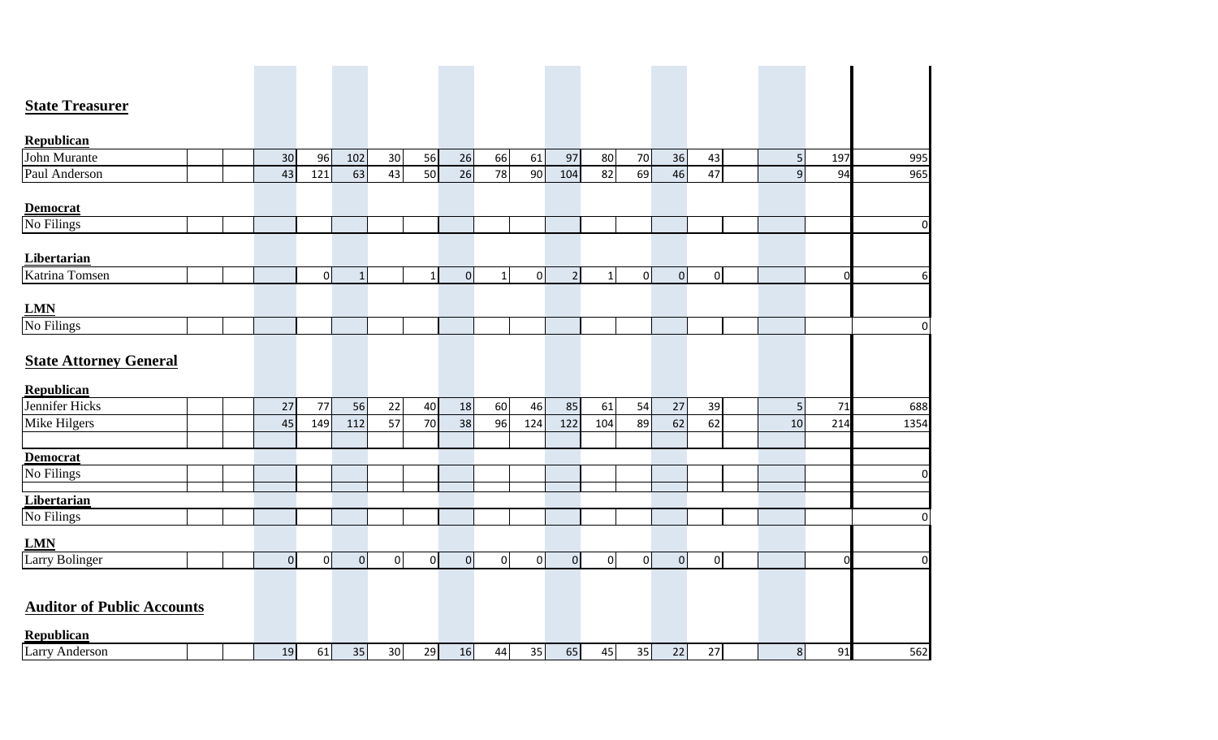| <b>State Treasurer</b>            |  |                |     |              |        |              |           |                |     |                |                |         |        |                |                |             |                |
|-----------------------------------|--|----------------|-----|--------------|--------|--------------|-----------|----------------|-----|----------------|----------------|---------|--------|----------------|----------------|-------------|----------------|
| <b>Republican</b>                 |  |                |     |              |        |              |           |                |     |                |                |         |        |                |                |             |                |
| John Murante                      |  | 30             | 96  | 102          | $30\,$ | 56           | 26        | 66             | 61  | 97             | 80             | 70      | 36     | 43             | 5              | 197         | 995            |
| Paul Anderson                     |  | 43             | 121 | 63           | 43     | 50           | 26        | 78             | 90  | 104            | 82             | 69      | 46     | 47             | $\overline{9}$ | 94          | 965            |
|                                   |  |                |     |              |        |              |           |                |     |                |                |         |        |                |                |             |                |
| <b>Democrat</b>                   |  |                |     |              |        |              |           |                |     |                |                |         |        |                |                |             |                |
| No Filings                        |  |                |     |              |        |              |           |                |     |                |                |         |        |                |                |             | $\overline{0}$ |
| Libertarian                       |  |                |     |              |        |              |           |                |     |                |                |         |        |                |                |             |                |
| Katrina Tomsen                    |  |                | 0   | $\mathbf{1}$ |        | $\mathbf{1}$ | $\pmb{0}$ | $1\vert$       | 0   | 2 <sup>1</sup> | 1              | $\circ$ | 0      | $\overline{O}$ |                | $\mathbf 0$ | 6              |
| <b>LMN</b>                        |  |                |     |              |        |              |           |                |     |                |                |         |        |                |                |             |                |
| No Filings                        |  |                |     |              |        |              |           |                |     |                |                |         |        |                |                |             | $\pmb{0}$      |
|                                   |  |                |     |              |        |              |           |                |     |                |                |         |        |                |                |             |                |
| <b>State Attorney General</b>     |  |                |     |              |        |              |           |                |     |                |                |         |        |                |                |             |                |
| <b>Republican</b>                 |  |                |     |              |        |              |           |                |     |                |                |         |        |                |                |             |                |
| Jennifer Hicks                    |  | 27             | 77  | 56           | $22\,$ | 40           | 18        | 60             | 46  | 85             | 61             | 54      | 27     | 39             | 5              | 71          | 688            |
| Mike Hilgers                      |  | 45             | 149 | 112          | 57     | 70           | 38        | 96             | 124 | 122            | 104            | 89      | 62     | 62             | 10             | 214         | 1354           |
| <b>Democrat</b>                   |  |                |     |              |        |              |           |                |     |                |                |         |        |                |                |             |                |
| No Filings                        |  |                |     |              |        |              |           |                |     |                |                |         |        |                |                |             | $\overline{0}$ |
| Libertarian                       |  |                |     |              |        |              |           |                |     |                |                |         |        |                |                |             |                |
| No Filings                        |  |                |     |              |        |              |           |                |     |                |                |         |        |                |                |             | $\pmb{0}$      |
| <b>LMN</b>                        |  |                |     |              |        |              |           |                |     |                |                |         |        |                |                |             |                |
| <b>Larry Bolinger</b>             |  | $\overline{0}$ | 0   | 0            | 0      | $\circ$      | $\pmb{0}$ | $\overline{0}$ | 0   | $\overline{0}$ | $\overline{0}$ | $\circ$ | 0      | $\overline{0}$ |                | $\mathbf 0$ | $\overline{0}$ |
|                                   |  |                |     |              |        |              |           |                |     |                |                |         |        |                |                |             |                |
| <b>Auditor of Public Accounts</b> |  |                |     |              |        |              |           |                |     |                |                |         |        |                |                |             |                |
| <b>Republican</b>                 |  |                |     |              |        |              |           |                |     |                |                |         |        |                |                |             |                |
| <b>Larry Anderson</b>             |  | 19             | 61  | 35           | 30     | 29           | 16        | 44             | 35  | 65             | 45             | 35      | $22\,$ | 27             | 8              | 91          | 562            |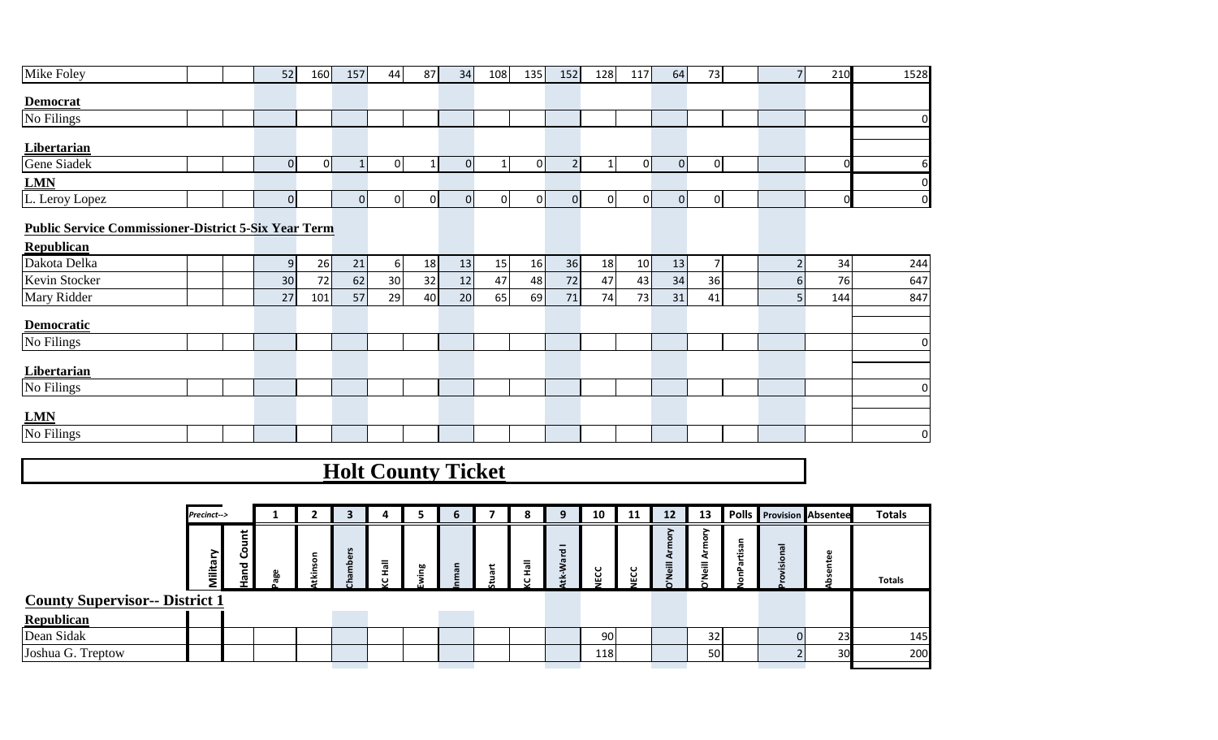| Mike Foley                                                  |  | 52 | <b>160</b> | 157 | 44 | 87 I | 34 | 108 | 135 <sub>1</sub> | 152 | 128 | 117 | <b>64</b> | 73 | 210 | 1528 |
|-------------------------------------------------------------|--|----|------------|-----|----|------|----|-----|------------------|-----|-----|-----|-----------|----|-----|------|
| <b>Democrat</b>                                             |  |    |            |     |    |      |    |     |                  |     |     |     |           |    |     |      |
| No Filings                                                  |  |    |            |     |    |      |    |     |                  |     |     |     |           |    |     |      |
| Libertarian                                                 |  |    |            |     |    |      |    |     |                  |     |     |     |           |    |     |      |
| Gene Siadek                                                 |  |    |            |     |    |      |    |     |                  |     |     |     |           |    |     |      |
| <b>LMN</b>                                                  |  |    |            |     |    |      |    |     |                  |     |     |     |           |    |     |      |
| L. Leroy Lopez                                              |  |    |            |     |    |      |    |     |                  |     |     |     |           | ΩI | ΩL  |      |
| <b>Public Service Commissioner-District 5-Six Year Term</b> |  |    |            |     |    |      |    |     |                  |     |     |     |           |    |     |      |

#### **Public Service Commissioner-District 5-Six Year Term**

| Republican         |  |    |                 |    |                 |                 |    |                 |                 |                 |                 |                 |    |    |   |     |                |
|--------------------|--|----|-----------------|----|-----------------|-----------------|----|-----------------|-----------------|-----------------|-----------------|-----------------|----|----|---|-----|----------------|
| Dakota Delka       |  | 9  | 26 <sub>l</sub> | 21 | 61              | 18 <sup>1</sup> | 13 | 15 <sub>l</sub> | 16 <sup>1</sup> | 36 <sub>l</sub> | 18 <sup>1</sup> | 10 <sup>1</sup> | 13 |    |   | 34  | 244            |
| Kevin Stocker      |  | 30 | 72              | 62 | 30 <sup>1</sup> | 32              | 12 | 47              | 48              | 72              | 47              | 43              | 34 | 36 | n | 76  | 647            |
| Mary Ridder        |  | 27 | 101             | 57 | 29              | 40              | 20 | 65              | 69              | 71              | 74              | 73              | 31 | 41 |   | 144 | 847            |
| Democratic         |  |    |                 |    |                 |                 |    |                 |                 |                 |                 |                 |    |    |   |     |                |
| No Filings         |  |    |                 |    |                 |                 |    |                 |                 |                 |                 |                 |    |    |   |     | 0              |
| <b>Libertarian</b> |  |    |                 |    |                 |                 |    |                 |                 |                 |                 |                 |    |    |   |     |                |
| No Filings         |  |    |                 |    |                 |                 |    |                 |                 |                 |                 |                 |    |    |   |     | $\overline{0}$ |
|                    |  |    |                 |    |                 |                 |    |                 |                 |                 |                 |                 |    |    |   |     |                |
| <b>LMN</b>         |  |    |                 |    |                 |                 |    |                 |                 |                 |                 |                 |    |    |   |     |                |
| No Filings         |  |    |                 |    |                 |                 |    |                 |                 |                 |                 |                 |    |    |   |     | $\overline{0}$ |

**Holt County Ticket**

|                                       | Precinct-->                         |                                         |     |        | з                  |        |    | b            |    | o<br>ō |                                           | 10          | 11      | $12 \overline{ }$ | 13                     | <b>Polls</b> Provision Absentee |    | <b>Totals</b> |
|---------------------------------------|-------------------------------------|-----------------------------------------|-----|--------|--------------------|--------|----|--------------|----|--------|-------------------------------------------|-------------|---------|-------------------|------------------------|---------------------------------|----|---------------|
|                                       | œ<br>Ξ.<br>$\overline{\phantom{0}}$ | t<br>Ξ.<br>o<br>ပ<br>$\frac{1}{2}$<br>÷ | မ္မ | ⊆<br>虛 | ٣<br>$\omega$<br>≏ | =<br>൹ | ဗ္ | $\mathbf{C}$ | سد | =<br>흐 | $\overline{\phantom{0}}$<br>ਠ<br>ێ<br>معد | ပ<br>ت<br>▥ | EC<br>C |                   | $\circ$<br>=<br>.<br>@ | ਜ਼                              |    | <b>Totals</b> |
| <b>County Supervisor-- District 1</b> |                                     |                                         |     |        |                    |        |    |              |    |        |                                           |             |         |                   |                        |                                 |    |               |
| <b>Republican</b>                     |                                     |                                         |     |        |                    |        |    |              |    |        |                                           |             |         |                   |                        |                                 |    |               |
| Dean Sidak                            |                                     |                                         |     |        |                    |        |    |              |    |        |                                           | 90I         |         |                   | 32                     |                                 | 23 | 145           |
| Joshua G. Treptow                     |                                     |                                         |     |        |                    |        |    |              |    |        |                                           | 118         |         |                   | 50                     |                                 | 30 | 200           |
|                                       |                                     |                                         |     |        |                    |        |    |              |    |        |                                           |             |         |                   |                        |                                 |    |               |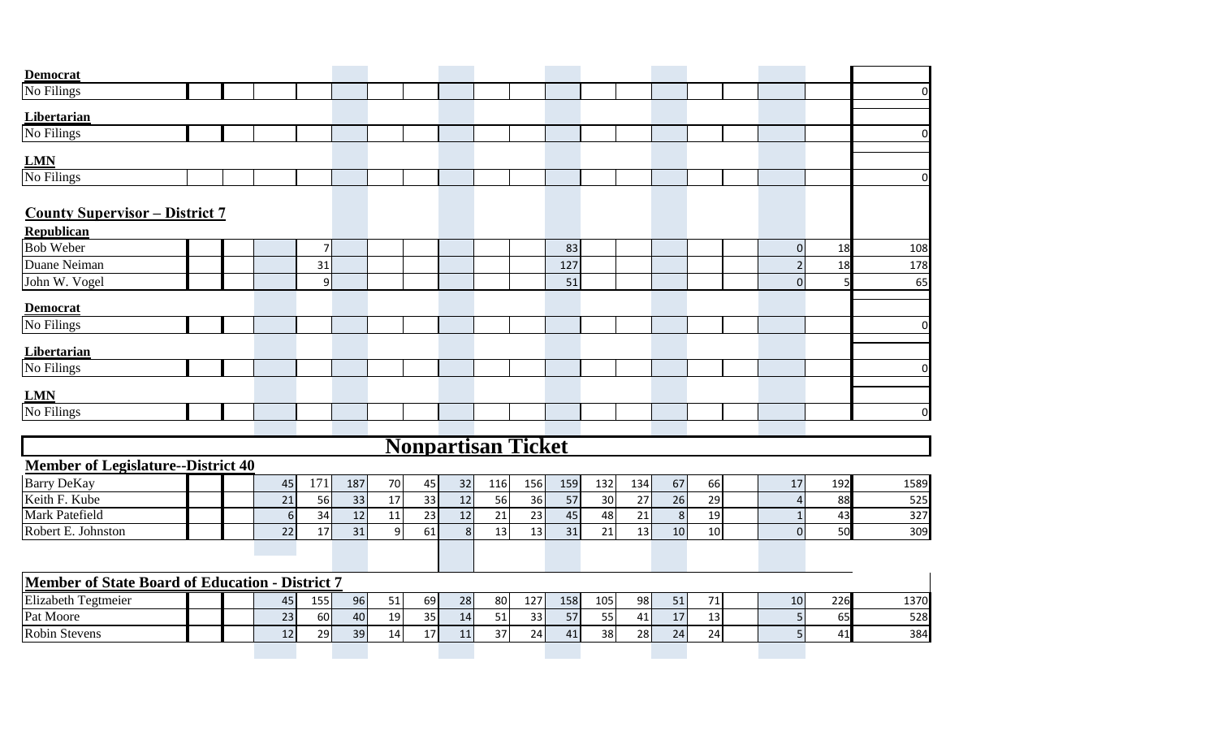| <b>Democrat</b>                                        |  |    |                |     |              |                 |                           |                 |                 |     |     |     |         |    |                |     |                |
|--------------------------------------------------------|--|----|----------------|-----|--------------|-----------------|---------------------------|-----------------|-----------------|-----|-----|-----|---------|----|----------------|-----|----------------|
| No Filings                                             |  |    |                |     |              |                 |                           |                 |                 |     |     |     |         |    |                |     | $\overline{0}$ |
| Libertarian                                            |  |    |                |     |              |                 |                           |                 |                 |     |     |     |         |    |                |     |                |
| No Filings                                             |  |    |                |     |              |                 |                           |                 |                 |     |     |     |         |    |                |     | $\overline{0}$ |
|                                                        |  |    |                |     |              |                 |                           |                 |                 |     |     |     |         |    |                |     |                |
| <b>LMN</b><br>No Filings                               |  |    |                |     |              |                 |                           |                 |                 |     |     |     |         |    |                |     |                |
|                                                        |  |    |                |     |              |                 |                           |                 |                 |     |     |     |         |    |                |     | $\overline{0}$ |
| <b>County Supervisor - District 7</b>                  |  |    |                |     |              |                 |                           |                 |                 |     |     |     |         |    |                |     |                |
| Republican                                             |  |    |                |     |              |                 |                           |                 |                 |     |     |     |         |    |                |     |                |
| <b>Bob Weber</b>                                       |  |    | $\overline{7}$ |     |              |                 |                           |                 |                 | 83  |     |     |         |    | $\overline{0}$ | 18  | 108            |
| Duane Neiman                                           |  |    | 31             |     |              |                 |                           |                 |                 | 127 |     |     |         |    | $\overline{2}$ | 18  | 178            |
| John W. Vogel                                          |  |    | 9              |     |              |                 |                           |                 |                 | 51  |     |     |         |    | $\Omega$       |     | 65             |
| <b>Democrat</b>                                        |  |    |                |     |              |                 |                           |                 |                 |     |     |     |         |    |                |     |                |
| No Filings                                             |  |    |                |     |              |                 |                           |                 |                 |     |     |     |         |    |                |     | $\overline{0}$ |
| Libertarian                                            |  |    |                |     |              |                 |                           |                 |                 |     |     |     |         |    |                |     |                |
| No Filings                                             |  |    |                |     |              |                 |                           |                 |                 |     |     |     |         |    |                |     | $\mathbf 0$    |
| <u>LMN</u>                                             |  |    |                |     |              |                 |                           |                 |                 |     |     |     |         |    |                |     |                |
| No Filings                                             |  |    |                |     |              |                 |                           |                 |                 |     |     |     |         |    |                |     | $\overline{0}$ |
|                                                        |  |    |                |     |              |                 |                           |                 |                 |     |     |     |         |    |                |     |                |
|                                                        |  |    |                |     |              |                 | <b>Nonpartisan Ticket</b> |                 |                 |     |     |     |         |    |                |     |                |
| <b>Member of Legislature--District 40</b>              |  |    |                |     |              |                 |                           |                 |                 |     |     |     |         |    |                |     |                |
| <b>Barry DeKay</b>                                     |  | 45 | 171            | 187 | 70           | 45              | 32                        | 116             | 156             | 159 | 132 | 134 | 67      | 66 | 17             | 192 | 1589           |
| Keith F. Kube                                          |  | 21 | 56             | 33  | 17           | 33              | 12                        | 56              | 36              | 57  | 30  | 27  | 26      | 29 | 4              | 88  | 525            |
| Mark Patefield                                         |  | 6  | 34             | 12  | 11           | $\overline{23}$ | 12                        | $\overline{21}$ | $\overline{23}$ | 45  | 48  | 21  | $\bf 8$ | 19 | 1              | 43  | 327            |
| Robert E. Johnston                                     |  | 22 | 17             | 31  | $\mathsf{g}$ | 61              | $\,8\,$                   | 13              | 13              | 31  | 21  | 13  | 10      | 10 | $\Omega$       | 50  | 309            |
|                                                        |  |    |                |     |              |                 |                           |                 |                 |     |     |     |         |    |                |     |                |
| <b>Member of State Board of Education - District 7</b> |  |    |                |     |              |                 |                           |                 |                 |     |     |     |         |    |                |     |                |
| Elizabeth Tegtmeier                                    |  | 45 | 155            | 96  | 51           | 69              | 28                        | 80              | 127             | 158 | 105 | 98  | 51      | 71 | 10             | 226 | 1370           |
| Pat Moore                                              |  | 23 | 60             | 40  | 19           | 35              | 14                        | 51              | 33              | 57  | 55  | 41  | 17      | 13 | 5              | 65  | 528            |
| Robin Stevens                                          |  | 12 | 29             | 39  | 14           | 17              | 11                        | 37              | 24              | 41  | 38  | 28  | 24      | 24 | 5 <sup>1</sup> | 41  | 384            |
|                                                        |  |    |                |     |              |                 |                           |                 |                 |     |     |     |         |    |                |     |                |